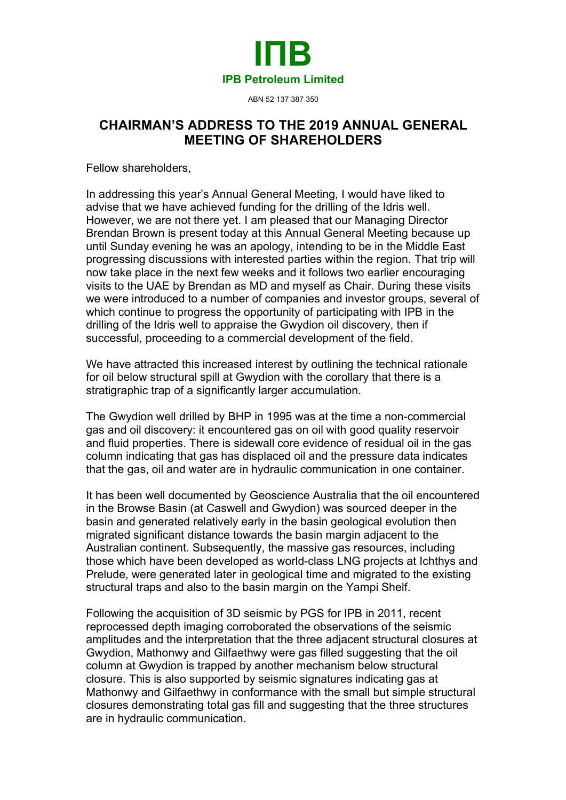

ABN 52 137 387 350

## **CHAIRMAN'S ADDRESS TO THE 2019 ANNUAL GENERAL MEETING OF SHAREHOLDERS**

Fellow shareholders,

In addressing this year's Annual General Meeting, I would have liked to advise that we have achieved funding for the drilling of the Idris well. However, we are not there yet. I am pleased that our Managing Director Brendan Brown is present today at this Annual General Meeting because up until Sunday evening he was an apology, intending to be in the Middle East progressing discussions with interested parties within the region. That trip will now take place in the next few weeks and it follows two earlier encouraging visits to the UAE by Brendan as MD and myself as Chair. During these visits we were introduced to a number of companies and investor groups, several of which continue to progress the opportunity of participating with IPB in the drilling of the Idris well to appraise the Gwydion oil discovery, then if successful, proceeding to a commercial development of the field.

We have attracted this increased interest by outlining the technical rationale for oil below structural spill at Gwydion with the corollary that there is a stratigraphic trap of a significantly larger accumulation.

The Gwydion well drilled by BHP in 1995 was at the time a non-commercial gas and oil discovery: it encountered gas on oil with good quality reservoir and fluid properties. There is sidewall core evidence of residual oil in the gas column indicating that gas has displaced oil and the pressure data indicates that the gas, oil and water are in hydraulic communication in one container.

It has been well documented by Geoscience Australia that the oil encountered in the Browse Basin (at Caswell and Gwydion) was sourced deeper in the basin and generated relatively early in the basin geological evolution then migrated significant distance towards the basin margin adjacent to the Australian continent. Subsequently, the massive gas resources, including those which have been developed as world-class LNG projects at Ichthys and Prelude, were generated later in geological time and migrated to the existing structural traps and also to the basin margin on the Yampi Shelf.

Following the acquisition of 3D seismic by PGS for IPB in 2011, recent reprocessed depth imaging corroborated the observations of the seismic amplitudes and the interpretation that the three adjacent structural closures at Gwydion, Mathonwy and Gilfaethwy were gas filled suggesting that the oil column at Gwydion is trapped by another mechanism below structural closure. This is also supported by seismic signatures indicating gas at Mathonwy and Gilfaethwy in conformance with the small but simple structural closures demonstrating total gas fill and suggesting that the three structures are in hydraulic communication.